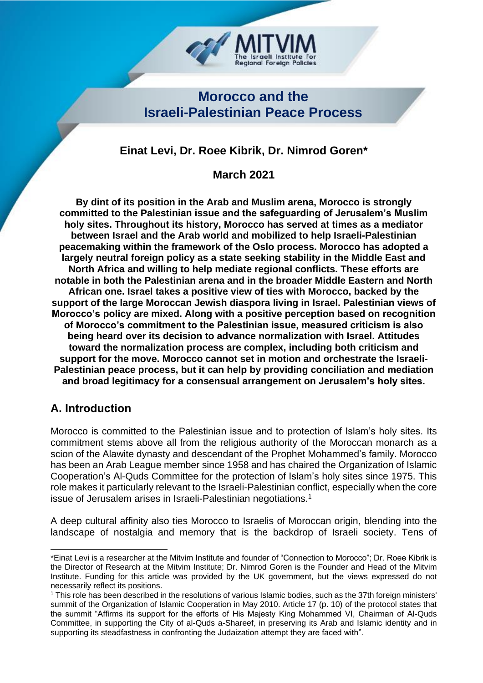**Morocco and the Israeli-Palestinian Peace Process**

**Regional Foreign Policies** 

# **Einat Levi, Dr. Roee Kibrik, Dr. Nimrod Goren\***

**March 2021**

**By dint of its position in the Arab and Muslim arena, Morocco is strongly committed to the Palestinian issue and the safeguarding of Jerusalem's Muslim holy sites. Throughout its history, Morocco has served at times as a mediator between Israel and the Arab world and mobilized to help Israeli-Palestinian peacemaking within the framework of the Oslo process. Morocco has adopted a largely neutral foreign policy as a state seeking stability in the Middle East and North Africa and willing to help mediate regional conflicts. These efforts are notable in both the Palestinian arena and in the broader Middle Eastern and North African one. Israel takes a positive view of ties with Morocco, backed by the support of the large Moroccan Jewish diaspora living in Israel. Palestinian views of Morocco's policy are mixed. Along with a positive perception based on recognition of Morocco's commitment to the Palestinian issue, measured criticism is also being heard over its decision to advance normalization with Israel. Attitudes toward the normalization process are complex, including both criticism and support for the move. Morocco cannot set in motion and orchestrate the Israeli-Palestinian peace process, but it can help by providing conciliation and mediation and broad legitimacy for a consensual arrangement on Jerusalem's holy sites.**

## **A. Introduction**

Morocco is committed to the Palestinian issue and to protection of Islam's holy sites. Its commitment stems above all from the religious authority of the Moroccan monarch as a scion of the Alawite dynasty and descendant of the Prophet Mohammed's family. Morocco has been an Arab League member since 1958 and has chaired the Organization of Islamic Cooperation's Al-Quds Committee for the protection of Islam's holy sites since 1975. This role makes it particularly relevant to the Israeli-Palestinian conflict, especially when the core issue of Jerusalem arises in Israeli-Palestinian negotiations. 1

A deep cultural affinity also ties Morocco to Israelis of Moroccan origin, blending into the landscape of nostalgia and memory that is the backdrop of Israeli society. Tens of

<sup>\*</sup>Einat Levi is a researcher at the Mitvim Institute and founder of "Connection to Morocco"; Dr. Roee Kibrik is the Director of Research at the Mitvim Institute; Dr. Nimrod Goren is the Founder and Head of the Mitvim Institute. Funding for this article was provided by the UK government, but the views expressed do not necessarily reflect its positions.

<sup>&</sup>lt;sup>1</sup> This role has been described in the resolutions of various Islamic bodies, such as the 37th foreign ministers' summit of the Organization of Islamic Cooperation in May 2010. Article 17 (p. 10) of the protocol states that the summit "Affirms its support for the efforts of His Majesty King Mohammed VI, Chairman of Al-Quds Committee, in supporting the City of al-Quds a-Shareef, in preserving its Arab and Islamic identity and in supporting its steadfastness in confronting the Judaization attempt they are faced with".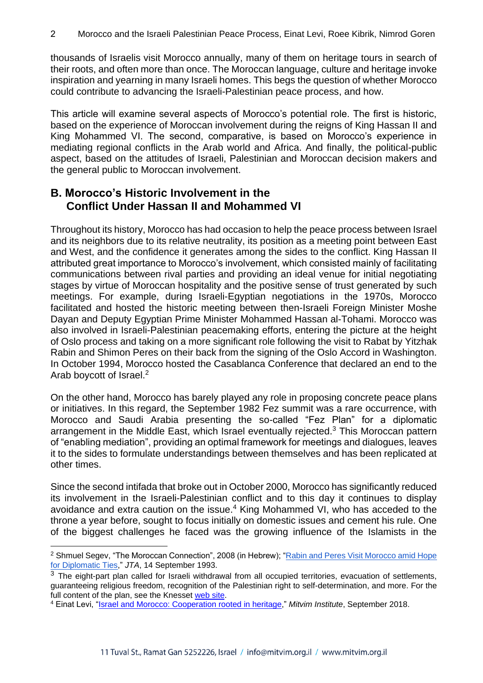thousands of Israelis visit Morocco annually, many of them on heritage tours in search of their roots, and often more than once. The Moroccan language, culture and heritage invoke inspiration and yearning in many Israeli homes. This begs the question of whether Morocco could contribute to advancing the Israeli-Palestinian peace process, and how.

This article will examine several aspects of Morocco's potential role. The first is historic, based on the experience of Moroccan involvement during the reigns of King Hassan II and King Mohammed VI. The second, comparative, is based on Morocco's experience in mediating regional conflicts in the Arab world and Africa. And finally, the political-public aspect, based on the attitudes of Israeli, Palestinian and Moroccan decision makers and the general public to Moroccan involvement.

## **B. Morocco's Historic Involvement in the Conflict Under Hassan II and Mohammed VI**

Throughout its history, Morocco has had occasion to help the peace process between Israel and its neighbors due to its relative neutrality, its position as a meeting point between East and West, and the confidence it generates among the sides to the conflict. King Hassan II attributed great importance to Morocco's involvement, which consisted mainly of facilitating communications between rival parties and providing an ideal venue for initial negotiating stages by virtue of Moroccan hospitality and the positive sense of trust generated by such meetings. For example, during Israeli-Egyptian negotiations in the 1970s, Morocco facilitated and hosted the historic meeting between then-Israeli Foreign Minister Moshe Dayan and Deputy Egyptian Prime Minister Mohammed Hassan al-Tohami. Morocco was also involved in Israeli-Palestinian peacemaking efforts, entering the picture at the height of Oslo process and taking on a more significant role following the visit to Rabat by Yitzhak Rabin and Shimon Peres on their back from the signing of the Oslo Accord in Washington. In October 1994, Morocco hosted the Casablanca Conference that declared an end to the Arab boycott of Israel.<sup>2</sup>

On the other hand, Morocco has barely played any role in proposing concrete peace plans or initiatives. In this regard, the September 1982 Fez summit was a rare occurrence, with Morocco and Saudi Arabia presenting the so-called "Fez Plan" for a diplomatic arrangement in the Middle East, which Israel eventually rejected.<sup>3</sup> This Moroccan pattern of "enabling mediation", providing an optimal framework for meetings and dialogues, leaves it to the sides to formulate understandings between themselves and has been replicated at other times.

Since the second intifada that broke out in October 2000, Morocco has significantly reduced its involvement in the Israeli-Palestinian conflict and to this day it continues to display avoidance and extra caution on the issue.<sup>4</sup> King Mohammed VI, who has acceded to the throne a year before, sought to focus initially on domestic issues and cement his rule. One of the biggest challenges he faced was the growing influence of the Islamists in the

<sup>&</sup>lt;sup>2</sup> Shmuel Segev, "The Moroccan Connection", 2008 (in Hebrew); "Rabin and Peres Visit Morocco amid Hope [for Diplomatic Ties,](https://www.jta.org/1993/09/15/archive/rabin-and-peres-visit-morocco-amid-hope-for-diplomatic-ties)" *JTA*, 14 September 1993.

 $3$  The eight-part plan called for Israeli withdrawal from all occupied territories, evacuation of settlements, guaranteeing religious freedom, recognition of the Palestinian right to self-determination, and more. For the full content of the plan, see the Knesset [web site.](https://www.knesset.gov.il/process/docs/fez.htm)

<sup>4</sup> Einat Levi, ["Israel and Morocco: Cooperation rooted in heritage,](https://mitvim.org.il/wp-content/uploads/Einat_Levi_-_Israel_and_Morocco_-_Cooperation_Rooted_in_Heritage_-_September_2018.pdf)" *Mitvim Institute*, September 2018.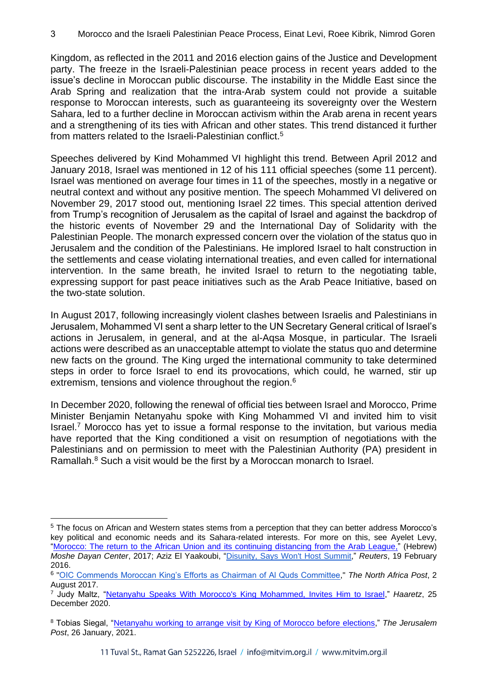Kingdom, as reflected in the 2011 and 2016 election gains of the Justice and Development party. The freeze in the Israeli-Palestinian peace process in recent years added to the issue's decline in Moroccan public discourse. The instability in the Middle East since the Arab Spring and realization that the intra-Arab system could not provide a suitable response to Moroccan interests, such as guaranteeing its sovereignty over the Western Sahara, led to a further decline in Moroccan activism within the Arab arena in recent years and a strengthening of its ties with African and other states. This trend distanced it further from matters related to the Israeli-Palestinian conflict.<sup>5</sup>

Speeches delivered by Kind Mohammed VI highlight this trend. Between April 2012 and January 2018, Israel was mentioned in 12 of his 111 official speeches (some 11 percent). Israel was mentioned on average four times in 11 of the speeches, mostly in a negative or neutral context and without any positive mention. The speech Mohammed VI delivered on November 29, 2017 stood out, mentioning Israel 22 times. This special attention derived from Trump's recognition of Jerusalem as the capital of Israel and against the backdrop of the historic events of November 29 and the International Day of Solidarity with the Palestinian People. The monarch expressed concern over the violation of the status quo in Jerusalem and the condition of the Palestinians. He implored Israel to halt construction in the settlements and cease violating international treaties, and even called for international intervention. In the same breath, he invited Israel to return to the negotiating table, expressing support for past peace initiatives such as the Arab Peace Initiative, based on the two-state solution.

In August 2017, following increasingly violent clashes between Israelis and Palestinians in Jerusalem, Mohammed VI sent a sharp letter to the UN Secretary General critical of Israel's actions in Jerusalem, in general, and at the al-Aqsa Mosque, in particular. The Israeli actions were described as an unacceptable attempt to violate the status quo and determine new facts on the ground. The King urged the international community to take determined steps in order to force Israel to end its provocations, which could, he warned, stir up extremism, tensions and violence throughout the region.<sup>6</sup>

In December 2020, following the renewal of official ties between Israel and Morocco, Prime Minister Benjamin Netanyahu spoke with King Mohammed VI and invited him to visit Israel.<sup>7</sup> Morocco has yet to issue a formal response to the invitation, but various media have reported that the King conditioned a visit on resumption of negotiations with the Palestinians and on permission to meet with the Palestinian Authority (PA) president in Ramallah.<sup>8</sup> Such a visit would be the first by a Moroccan monarch to Israel.

<sup>5</sup> The focus on African and Western states stems from a perception that they can better address Morocco's key political and economic needs and its Sahara-related interests. For more on this, see Ayelet Levy, ["Morocco: The return to the African Union and its continuing distancing from the Arab League,](https://dayan.org/content/morocco-return-african-union-and-its-continuing-distancing-arab-league-hebrew)" (Hebrew) *Moshe Dayan Center*, 2017; Aziz El Yaakoubi, ["Disunity, Says Won't Host Summit,](https://www.reuters.com/article/us-morocco-arabs-summit/morocco-citing-arab-disunity-says-wont-host-summit-idUSKCN0VS2PE)" *Reuters*, 19 February 2016 .

<sup>6</sup> ["OIC Commends Moroccan King's Efforts as Chairman of Al Quds Committee,](http://northafricapost.com/19118-oic-commends-moroccan-kings-efforts-chairman-al-quds-committee.html)" *The North Africa Post*, 2 August 2017.

<sup>7</sup> Judy Maltz, ["Netanyahu Speaks With Morocco's King Mohammed, Invites Him to Israel,](https://www.haaretz.com/israel-news/netanyahu-speaks-with-morocco-s-king-mohammed-invites-him-to-israel-1.9400650)" *Haaretz*, 25 December 2020.

<sup>8</sup> Tobias Siegal, ["Netanyahu working to arrange visit by King of Morocco before elections,](https://www.jpost.com/middle-east/netanyahu-working-to-arrange-visit-by-king-of-morocco-before-elections-656731)" *The Jerusalem Post*, 26 January, 2021.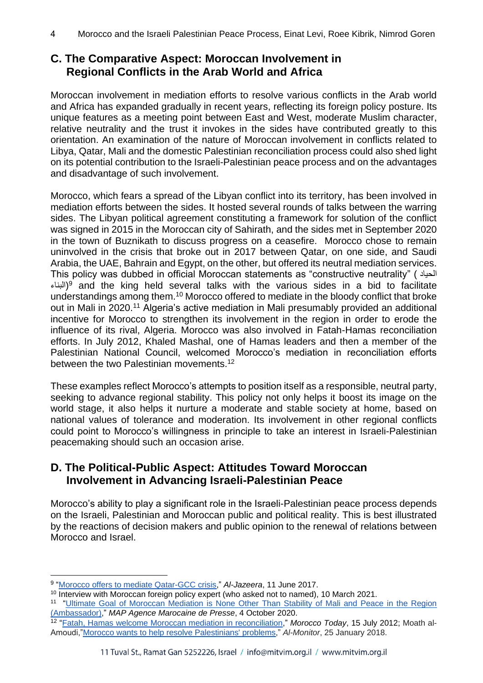## **C. The Comparative Aspect: Moroccan Involvement in Regional Conflicts in the Arab World and Africa**

Moroccan involvement in mediation efforts to resolve various conflicts in the Arab world and Africa has expanded gradually in recent years, reflecting its foreign policy posture. Its unique features as a meeting point between East and West, moderate Muslim character, relative neutrality and the trust it invokes in the sides have contributed greatly to this orientation. An examination of the nature of Moroccan involvement in conflicts related to Libya, Qatar, Mali and the domestic Palestinian reconciliation process could also shed light on its potential contribution to the Israeli-Palestinian peace process and on the advantages and disadvantage of such involvement.

Morocco, which fears a spread of the Libyan conflict into its territory, has been involved in mediation efforts between the sides. It hosted several rounds of talks between the warring sides. The Libyan political agreement constituting a framework for solution of the conflict was signed in 2015 in the Moroccan city of Sahirath, and the sides met in September 2020 in the town of Buznikath to discuss progress on a ceasefire. Morocco chose to remain uninvolved in the crisis that broke out in 2017 between Qatar, on one side, and Saudi Arabia, the UAE, Bahrain and Egypt, on the other, but offered its neutral mediation services. This policy was dubbed in official Moroccan statements as "constructive neutrality" ( الحياد البناء)<sup>9</sup> and the king held several talks with the various sides in a bid to facilitate understandings among them.<sup>10</sup> Morocco offered to mediate in the bloody conflict that broke out in Mali in 2020.<sup>11</sup> Algeria's active mediation in Mali presumably provided an additional incentive for Morocco to strengthen its involvement in the region in order to erode the influence of its rival, Algeria. Morocco was also involved in Fatah-Hamas reconciliation efforts. In July 2012, Khaled Mashal, one of Hamas leaders and then a member of the Palestinian National Council, welcomed Morocco's mediation in reconciliation efforts between the two Palestinian movements.<sup>12</sup>

These examples reflect Morocco's attempts to position itself as a responsible, neutral party, seeking to advance regional stability. This policy not only helps it boost its image on the world stage, it also helps it nurture a moderate and stable society at home, based on national values of tolerance and moderation. Its involvement in other regional conflicts could point to Morocco's willingness in principle to take an interest in Israeli-Palestinian peacemaking should such an occasion arise.

### **D. The Political-Public Aspect: Attitudes Toward Moroccan Involvement in Advancing Israeli-Palestinian Peace**

Morocco's ability to play a significant role in the Israeli-Palestinian peace process depends on the Israeli, Palestinian and Moroccan public and political reality. This is best illustrated by the reactions of decision makers and public opinion to the renewal of relations between Morocco and Israel.

<sup>9</sup> ["Morocco offers to mediate Qatar-GCC crisis,](https://www.aljazeera.com/news/2017/6/11/morocco-offers-to-mediate-qatar-gcc-crisis)" *Al-Jazeera*, 11 June 2017.

<sup>&</sup>lt;sup>10</sup> Interview with Moroccan foreign policy expert (who asked not to named), 10 March 2021.

<sup>&</sup>lt;sup>11</sup> "Ultimate Goal of Moroccan Mediation is None Other Than Stability of Mali and Peace in the Region [\(Ambassador\),](https://www.mapnews.ma/en/actualites/politics/ultimate-goal-moroccan-mediation-none-other-stability-mali-and-peace-region)" *MAP Agence Marocaine de Presse*, 4 October 2020.

<sup>12</sup> ["Fatah, Hamas welcome Moroccan mediation in reconciliation,](https://www.almaghribtoday.net/en/314/fatah-hamas-welcome-moroccan-mediation-in-reconciliation)" *Morocco Today*, 15 July 2012; Moath al-Amoudi,["Morocco wants to help resolve Palestinians' problems,](https://www.al-monitor.com/pulse/originals/2018/05/morocco-support-palestinian-factions-hamas-fatah.html)" *Al-Monitor*, 25 January 2018.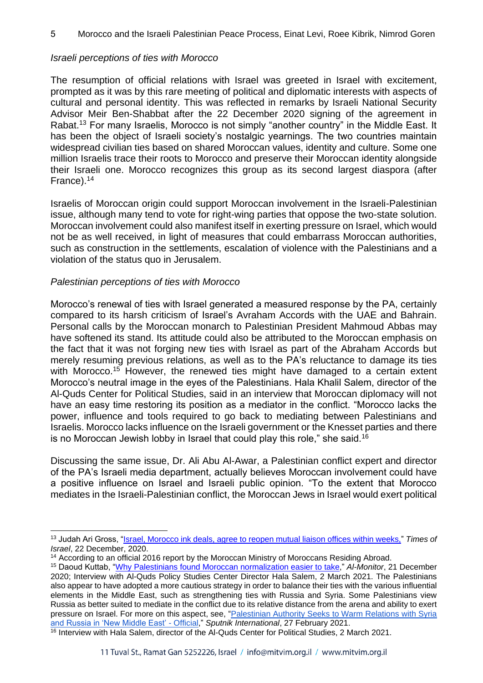#### 5 Morocco and the Israeli Palestinian Peace Process, Einat Levi, Roee Kibrik, Nimrod Goren

#### *Israeli perceptions of ties with Morocco*

The resumption of official relations with Israel was greeted in Israel with excitement, prompted as it was by this rare meeting of political and diplomatic interests with aspects of cultural and personal identity. This was reflected in remarks by Israeli National Security Advisor Meir Ben-Shabbat after the 22 December 2020 signing of the agreement in Rabat.<sup>13</sup> For many Israelis, Morocco is not simply "another country" in the Middle East. It has been the object of Israeli society's nostalgic yearnings. The two countries maintain widespread civilian ties based on shared Moroccan values, identity and culture. Some one million Israelis trace their roots to Morocco and preserve their Moroccan identity alongside their Israeli one. Morocco recognizes this group as its second largest diaspora (after France).<sup>14</sup>

Israelis of Moroccan origin could support Moroccan involvement in the Israeli-Palestinian issue, although many tend to vote for right-wing parties that oppose the two-state solution. Moroccan involvement could also manifest itself in exerting pressure on Israel, which would not be as well received, in light of measures that could embarrass Moroccan authorities, such as construction in the settlements, escalation of violence with the Palestinians and a violation of the status quo in Jerusalem.

#### *Palestinian perceptions of ties with Morocco*

Morocco's renewal of ties with Israel generated a measured response by the PA, certainly compared to its harsh criticism of Israel's Avraham Accords with the UAE and Bahrain. Personal calls by the Moroccan monarch to Palestinian President Mahmoud Abbas may have softened its stand. Its attitude could also be attributed to the Moroccan emphasis on the fact that it was not forging new ties with Israel as part of the Abraham Accords but merely resuming previous relations, as well as to the PA's reluctance to damage its ties with Morocco.<sup>15</sup> However, the renewed ties might have damaged to a certain extent Morocco's neutral image in the eyes of the Palestinians. Hala Khalil Salem, director of the Al-Quds Center for Political Studies, said in an interview that Moroccan diplomacy will not have an easy time restoring its position as a mediator in the conflict. "Morocco lacks the power, influence and tools required to go back to mediating between Palestinians and Israelis. Morocco lacks influence on the Israeli government or the Knesset parties and there is no Moroccan Jewish lobby in Israel that could play this role," she said.<sup>16</sup>

Discussing the same issue, Dr. Ali Abu Al-Awar, a Palestinian conflict expert and director of the PA's Israeli media department, actually believes Moroccan involvement could have a positive influence on Israel and Israeli public opinion. "To the extent that Morocco mediates in the Israeli-Palestinian conflict, the Moroccan Jews in Israel would exert political

<sup>13</sup> Judah Ari Gross, ["Israel, Morocco ink deals, agree to reopen mutual liaison offices within weeks,"](https://www.timesofisrael.com/israel-morocco-ink-deals-agree-to-reopen-mutual-liaison-offices-within-weeks/) *Times of Israel*, 22 December, 2020.

<sup>&</sup>lt;sup>14</sup> According to an official 2016 report by the Moroccan Ministry of Moroccans Residing Abroad.

<sup>15</sup> Daoud Kuttab, ["Why Palestinians found Moroccan normalization easier to take,](https://www.al-monitor.com/originals/2020/12/uae-normalization-morocco-palestine-israel.html#ixzz6rdEPaw2N)" *Al-Monitor*, 21 December 2020; Interview with Al-Quds Policy Studies Center Director Hala Salem, 2 March 2021. The Palestinians also appear to have adopted a more cautious strategy in order to balance their ties with the various influential elements in the Middle East, such as strengthening ties with Russia and Syria. Some Palestinians view Russia as better suited to mediate in the conflict due to its relative distance from the arena and ability to exert pressure on Israel. For more on this aspect, see, ["Palestinian Authority Seeks to Warm Relations with Syria](https://sputniknews.com/middleeast/202102271082206366-palestinian-authority-seeks-to-warm-relations-with-syria-and-russia-in-new-middle-east-official/)  [and Russia in 'New Middle East'](https://sputniknews.com/middleeast/202102271082206366-palestinian-authority-seeks-to-warm-relations-with-syria-and-russia-in-new-middle-east-official/) - Official," *Sputnik International*, 27 February 2021.

 $16$  Interview with Hala Salem, director of the Al-Quds Center for Political Studies, 2 March 2021.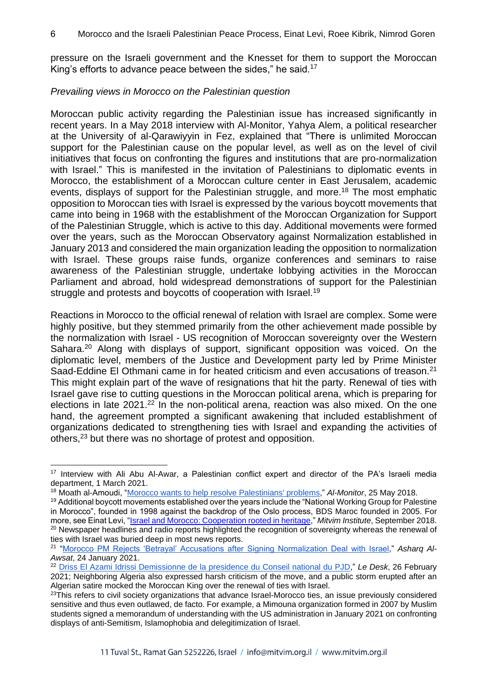pressure on the Israeli government and the Knesset for them to support the Moroccan King's efforts to advance peace between the sides," he said.<sup>17</sup>

#### *Prevailing views in Morocco on the Palestinian question*

Moroccan public activity regarding the Palestinian issue has increased significantly in recent years. In a May 2018 interview with Al-Monitor, Yahya Alem, a political researcher at the University of al-Qarawiyyin in Fez, explained that "There is unlimited Moroccan support for the Palestinian cause on the popular level, as well as on the level of civil initiatives that focus on confronting the figures and institutions that are pro-normalization with Israel." This is manifested in the invitation of Palestinians to diplomatic events in Morocco, the establishment of a Moroccan culture center in East Jerusalem, academic events, displays of support for the Palestinian struggle, and more.<sup>18</sup> The most emphatic opposition to Moroccan ties with Israel is expressed by the various boycott movements that came into being in 1968 with the establishment of the Moroccan Organization for Support of the Palestinian Struggle, which is active to this day. Additional movements were formed over the years, such as the Moroccan Observatory against Normalization established in January 2013 and considered the main organization leading the opposition to normalization with Israel. These groups raise funds, organize conferences and seminars to raise awareness of the Palestinian struggle, undertake lobbying activities in the Moroccan Parliament and abroad, hold widespread demonstrations of support for the Palestinian struggle and protests and boycotts of cooperation with Israel.<sup>19</sup>

Reactions in Morocco to the official renewal of relation with Israel are complex. Some were highly positive, but they stemmed primarily from the other achievement made possible by the normalization with Israel - US recognition of Moroccan sovereignty over the Western Sahara.<sup>20</sup> Along with displays of support, significant opposition was voiced. On the diplomatic level, members of the Justice and Development party led by Prime Minister Saad-Eddine El Othmani came in for heated criticism and even accusations of treason.<sup>21</sup> This might explain part of the wave of resignations that hit the party. Renewal of ties with Israel gave rise to cutting questions in the Moroccan political arena, which is preparing for elections in late 2021.<sup>22</sup> In the non-political arena, reaction was also mixed. On the one hand, the agreement prompted a significant awakening that included establishment of organizations dedicated to strengthening ties with Israel and expanding the activities of others,<sup>23</sup> but there was no shortage of protest and opposition.

<sup>&</sup>lt;sup>17</sup> Interview with Ali Abu Al-Awar, a Palestinian conflict expert and director of the PA's Israeli media department, 1 March 2021.

<sup>18</sup> Moath al-Amoudi, ["Morocco wants to help resolve Palestinians' problems,](https://www.al-monitor.com/pulse/originals/2018/05/morocco-support-palestinian-factions-hamas-fatah.html)" *Al-Monitor*, 25 May 2018.

<sup>19</sup> Additional boycott movements established over the years include the "National Working Group for Palestine in Morocco", founded in 1998 against the backdrop of the Oslo process, BDS Maroc founded in 2005. For more, see Einat Levi, ["Israel and Morocco: Cooperation rooted in heritage,](https://mitvim.org.il/wp-content/uploads/Einat_Levi_-_Israel_and_Morocco_-_Cooperation_Rooted_in_Heritage_-_September_2018.pdf)" *Mitvim Institute*, September 2018. <sup>20</sup> Newspaper headlines and radio reports highlighted the recognition of sovereignty whereas the renewal of ties with Israel was buried deep in most news reports.

<sup>21</sup> ["Morocco PM Rejects 'Betrayal' Accusations after Signing Normalization Deal with Israel,](https://english.aawsat.com/home/article/2761686/morocco-pm-rejects-%E2%80%98betrayal%E2%80%99-accusations-after-signing-normalization-deal)" *Asharq Al-Awsat*, 24 January 2021.

<sup>22</sup> [Driss El Azami Idrissi Demissionne de la presidence du Conseil national du PJD,](https://ledesk.ma/encontinu/driss-el-azami-idrissi-demissionne-de-la-presidence-du-conseil-national-du-pjd/)" *Le Desk*, 26 February 2021; Neighboring Algeria also expressed harsh criticism of the move, and a public storm erupted after an Algerian satire mocked the Moroccan King over the renewal of ties with Israel.

 $23$ This refers to civil society organizations that advance Israel-Morocco ties, an issue previously considered sensitive and thus even outlawed, de facto. For example, a Mimouna organization formed in 2007 by Muslim students signed a memorandum of understanding with the US administration in January 2021 on confronting displays of anti-Semitism, Islamophobia and delegitimization of Israel.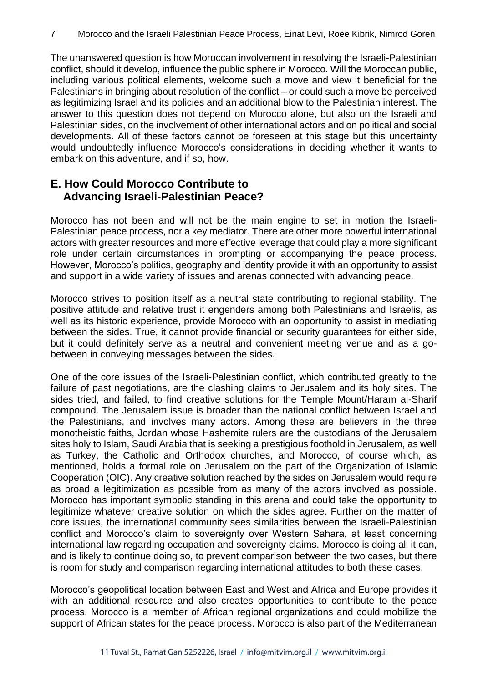The unanswered question is how Moroccan involvement in resolving the Israeli-Palestinian conflict, should it develop, influence the public sphere in Morocco. Will the Moroccan public, including various political elements, welcome such a move and view it beneficial for the Palestinians in bringing about resolution of the conflict – or could such a move be perceived as legitimizing Israel and its policies and an additional blow to the Palestinian interest. The answer to this question does not depend on Morocco alone, but also on the Israeli and Palestinian sides, on the involvement of other international actors and on political and social developments. All of these factors cannot be foreseen at this stage but this uncertainty would undoubtedly influence Morocco's considerations in deciding whether it wants to embark on this adventure, and if so, how.

## **E. How Could Morocco Contribute to Advancing Israeli-Palestinian Peace?**

Morocco has not been and will not be the main engine to set in motion the Israeli-Palestinian peace process, nor a key mediator. There are other more powerful international actors with greater resources and more effective leverage that could play a more significant role under certain circumstances in prompting or accompanying the peace process. However, Morocco's politics, geography and identity provide it with an opportunity to assist and support in a wide variety of issues and arenas connected with advancing peace.

Morocco strives to position itself as a neutral state contributing to regional stability. The positive attitude and relative trust it engenders among both Palestinians and Israelis, as well as its historic experience, provide Morocco with an opportunity to assist in mediating between the sides. True, it cannot provide financial or security guarantees for either side, but it could definitely serve as a neutral and convenient meeting venue and as a gobetween in conveying messages between the sides.

One of the core issues of the Israeli-Palestinian conflict, which contributed greatly to the failure of past negotiations, are the clashing claims to Jerusalem and its holy sites. The sides tried, and failed, to find creative solutions for the Temple Mount/Haram al-Sharif compound. The Jerusalem issue is broader than the national conflict between Israel and the Palestinians, and involves many actors. Among these are believers in the three monotheistic faiths, Jordan whose Hashemite rulers are the custodians of the Jerusalem sites holy to Islam, Saudi Arabia that is seeking a prestigious foothold in Jerusalem, as well as Turkey, the Catholic and Orthodox churches, and Morocco, of course which, as mentioned, holds a formal role on Jerusalem on the part of the Organization of Islamic Cooperation (OIC). Any creative solution reached by the sides on Jerusalem would require as broad a legitimization as possible from as many of the actors involved as possible. Morocco has important symbolic standing in this arena and could take the opportunity to legitimize whatever creative solution on which the sides agree. Further on the matter of core issues, the international community sees similarities between the Israeli-Palestinian conflict and Morocco's claim to sovereignty over Western Sahara, at least concerning international law regarding occupation and sovereignty claims. Morocco is doing all it can, and is likely to continue doing so, to prevent comparison between the two cases, but there is room for study and comparison regarding international attitudes to both these cases.

Morocco's geopolitical location between East and West and Africa and Europe provides it with an additional resource and also creates opportunities to contribute to the peace process. Morocco is a member of African regional organizations and could mobilize the support of African states for the peace process. Morocco is also part of the Mediterranean